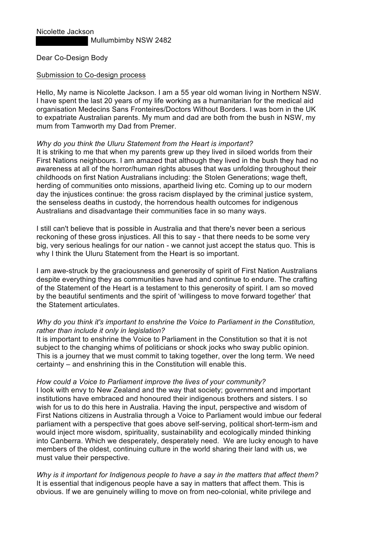# Dear Co-Design Body

### Submission to Co-design process

 Hello, My name is Nicolette Jackson. I am a 55 year old woman living in Northern NSW. organisation Medecins Sans Fronteires/Doctors Without Borders. I was born in the UK to expatriate Australian parents. My mum and dad are both from the bush in NSW, my mum from Tamworth my Dad from Premer. I have spent the last 20 years of my life working as a humanitarian for the medical aid

### *Why do you think the Uluru Statement from the Heart is important?*

 First Nations neighbours. I am amazed that although they lived in the bush they had no awareness at all of the horror/human rights abuses that was unfolding throughout their childhoods on first Nation Australians including: the Stolen Generations; wage theft, herding of communities onto missions, apartheid living etc. Coming up to our modern Australians and disadvantage their communities face in so many ways. It is striking to me that when my parents grew up they lived in siloed worlds from their day the injustices continue: the gross racism displayed by the criminal justice system, the senseless deaths in custody, the horrendous health outcomes for indigenous

 I still can't believe that is possible in Australia and that there's never been a serious reckoning of these gross injustices. All this to say - that there needs to be some very big, very serious healings for our nation - we cannot just accept the status quo. This is why I think the Uluru Statement from the Heart is so important.

 I am awe-struck by the graciousness and generosity of spirit of First Nation Australians despite everything they as communities have had and continue to endure. The crafting of the Statement of the Heart is a testament to this generosity of spirit. I am so moved by the beautiful sentiments and the spirit of 'willingess to move forward together' that the Statement articulates.

### *Why do you think it's important to enshrine the Voice to Parliament in the Constitution, rather than include it only in legislation?*

 subject to the changing whims of politicians or shock jocks who sway public opinion. This is a journey that we must commit to taking together, over the long term. We need It is important to enshrine the Voice to Parliament in the Constitution so that it is not certainty – and enshrining this in the Constitution will enable this.

## *How could a Voice to Parliament improve the lives of your community?*

 institutions have embraced and honoured their indigenous brothers and sisters. I so wish for us to do this here in Australia. Having the input, perspective and wisdom of First Nations citizens in Australia through a Voice to Parliament would imbue our federal parliament with a perspective that goes above self-serving, political short-term-ism and would inject more wisdom, spirituality, sustainability and ecologically minded thinking into Canberra. Which we desperately, desperately need. We are lucky enough to have members of the oldest, continuing culture in the world sharing their land with us, we must value their perspective. I look with envy to New Zealand and the way that society; government and important

 *Why is it important for Indigenous people to have a say in the matters that affect them?*  It is essential that indigenous people have a say in matters that affect them. This is obvious. If we are genuinely willing to move on from neo-colonial, white privilege and